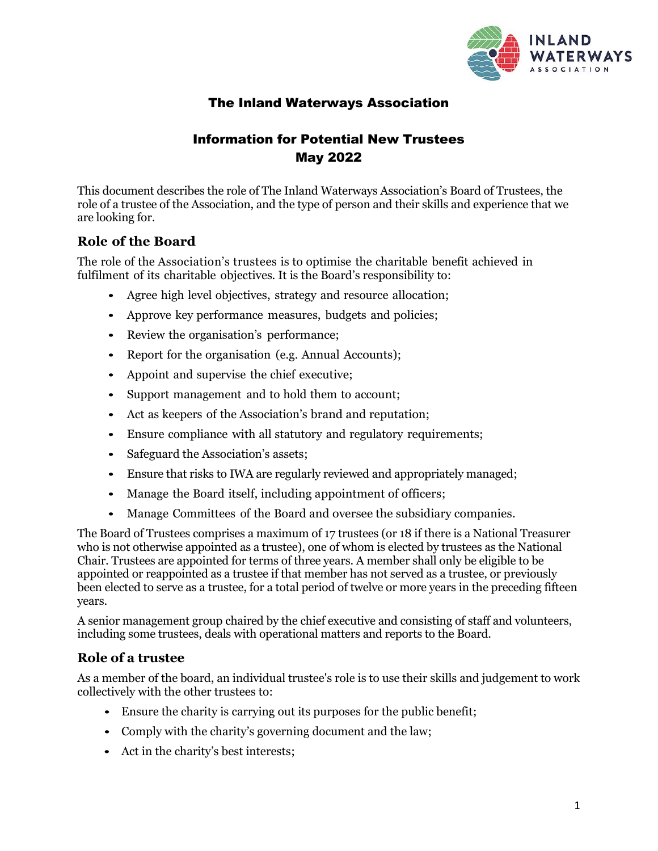

# The Inland Waterways Association

# Information for Potential New Trustees May 2022

This document describes the role of The Inland Waterways Association's Board of Trustees, the role of a trustee of the Association, and the type of person and their skills and experience that we are looking for.

# **Role of the Board**

The role of the Association's trustees is to optimise the charitable benefit achieved in fulfilment of its charitable objectives. It is the Board's responsibility to:

- Agree high level objectives, strategy and resource allocation;
- Approve key performance measures, budgets and policies;
- Review the organisation's performance;
- Report for the organisation (e.g. Annual Accounts);
- Appoint and supervise the chief executive;
- Support management and to hold them to account;
- Act as keepers of the Association's brand and reputation;
- Ensure compliance with all statutory and regulatory requirements;
- Safeguard the Association's assets;
- Ensure that risks to IWA are regularly reviewed and appropriately managed;
- Manage the Board itself, including appointment of officers;
- Manage Committees of the Board and oversee the subsidiary companies.

The Board of Trustees comprises a maximum of 17 trustees (or 18 if there is a National Treasurer who is not otherwise appointed as a trustee), one of whom is elected by trustees as the National Chair. Trustees are appointed for terms of three years. A member shall only be eligible to be appointed or reappointed as a trustee if that member has not served as a trustee, or previously been elected to serve as a trustee, for a total period of twelve or more years in the preceding fifteen years.

A senior management group chaired by the chief executive and consisting of staff and volunteers, including some trustees, deals with operational matters and reports to the Board.

# **Role of a trustee**

As a member of the board, an individual trustee's role is to use their skills and judgement to work collectively with the other trustees to:

- Ensure the charity is carrying out its purposes for the public benefit;
- Comply with the charity's governing document and the law;
- Act in the charity's best interests;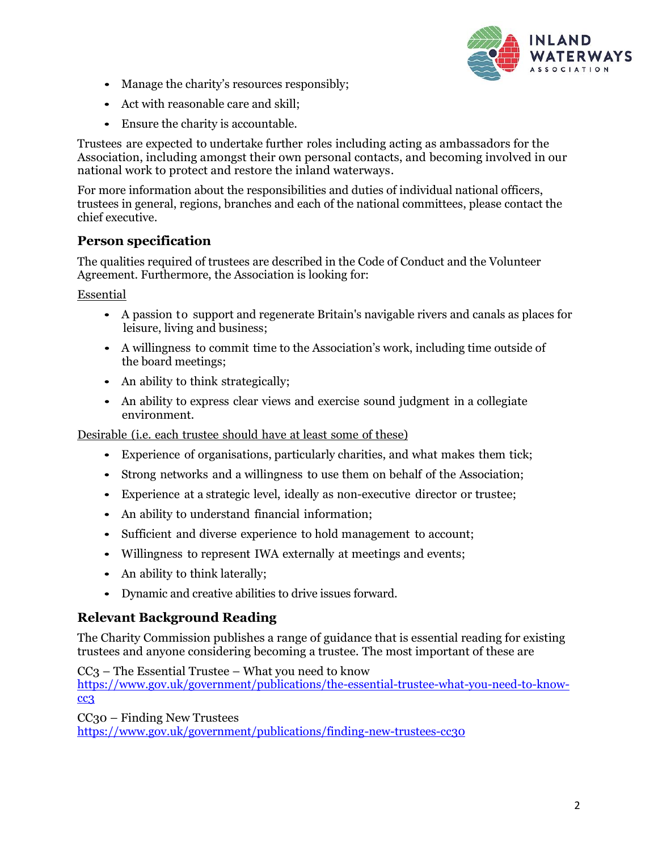

- Manage the charity's resources responsibly;
- Act with reasonable care and skill;
- Ensure the charity is accountable.

Trustees are expected to undertake further roles including acting as ambassadors for the Association, including amongst their own personal contacts, and becoming involved in our national work to protect and restore the inland waterways.

For more information about the responsibilities and duties of individual national officers, trustees in general, regions, branches and each of the national committees, please contact the chief executive.

## **Person specification**

The qualities required of trustees are described in the Code of Conduct and the Volunteer Agreement. Furthermore, the Association is looking for:

Essential

- A passion to support and regenerate Britain's navigable rivers and canals as places for leisure, living and business;
- A willingness to commit time to the Association's work, including time outside of the board meetings;
- An ability to think strategically;
- An ability to express clear views and exercise sound judgment in a collegiate environment.

Desirable (i.e. each trustee should have at least some of these)

- Experience of organisations, particularly charities, and what makes them tick;
- Strong networks and a willingness to use them on behalf of the Association;
- Experience at a strategic level, ideally as non-executive director or trustee;
- An ability to understand financial information;
- Sufficient and diverse experience to hold management to account;
- Willingness to represent IWA externally at meetings and events;
- An ability to think laterally;
- Dynamic and creative abilities to drive issues forward.

### **Relevant Background Reading**

The Charity Commission publishes a range of guidance that is essential reading for existing trustees and anyone considering becoming a trustee. The most important of these are

CC3 – The Essential Trustee – What you need to know [https://www.gov.uk/government/publications/the-essential-trustee-what-you-need-to-know](https://www.gov.uk/government/publications/the-essential-trustee-what-you-need-to-know-cc3)[cc3](https://www.gov.uk/government/publications/the-essential-trustee-what-you-need-to-know-cc3)

CC30 – Finding New Trustees <https://www.gov.uk/government/publications/finding-new-trustees-cc30>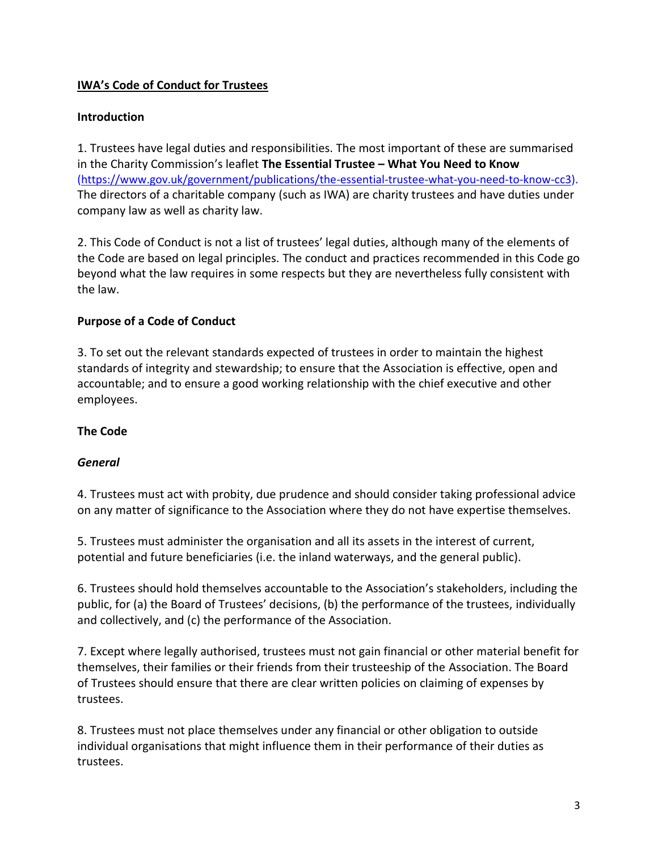## **IWA's Code of Conduct for Trustees**

## **Introduction**

1. Trustees have legal duties and responsibilities. The most important of these are summarised in the Charity Commission's leaflet **The Essential Trustee – What You Need to Know** [\(https://www.gov.uk/government/publications/the-essential-trustee-what-you-need-to-know-cc3\)](https://www.gov.uk/government/publications/the-essential-trustee-what-you-need-to-know-cc3). The directors of a charitable company (such as IWA) are charity trustees and have duties under company law as well as charity law.

2. This Code of Conduct is not a list of trustees' legal duties, although many of the elements of the Code are based on legal principles. The conduct and practices recommended in this Code go beyond what the law requires in some respects but they are nevertheless fully consistent with the law.

### **Purpose of a Code of Conduct**

3. To set out the relevant standards expected of trustees in order to maintain the highest standards of integrity and stewardship; to ensure that the Association is effective, open and accountable; and to ensure a good working relationship with the chief executive and other employees.

## **The Code**

## *General*

4. Trustees must act with probity, due prudence and should consider taking professional advice on any matter of significance to the Association where they do not have expertise themselves.

5. Trustees must administer the organisation and all its assets in the interest of current, potential and future beneficiaries (i.e. the inland waterways, and the general public).

6. Trustees should hold themselves accountable to the Association's stakeholders, including the public, for (a) the Board of Trustees' decisions, (b) the performance of the trustees, individually and collectively, and (c) the performance of the Association.

7. Except where legally authorised, trustees must not gain financial or other material benefit for themselves, their families or their friends from their trusteeship of the Association. The Board of Trustees should ensure that there are clear written policies on claiming of expenses by trustees.

8. Trustees must not place themselves under any financial or other obligation to outside individual organisations that might influence them in their performance of their duties as trustees.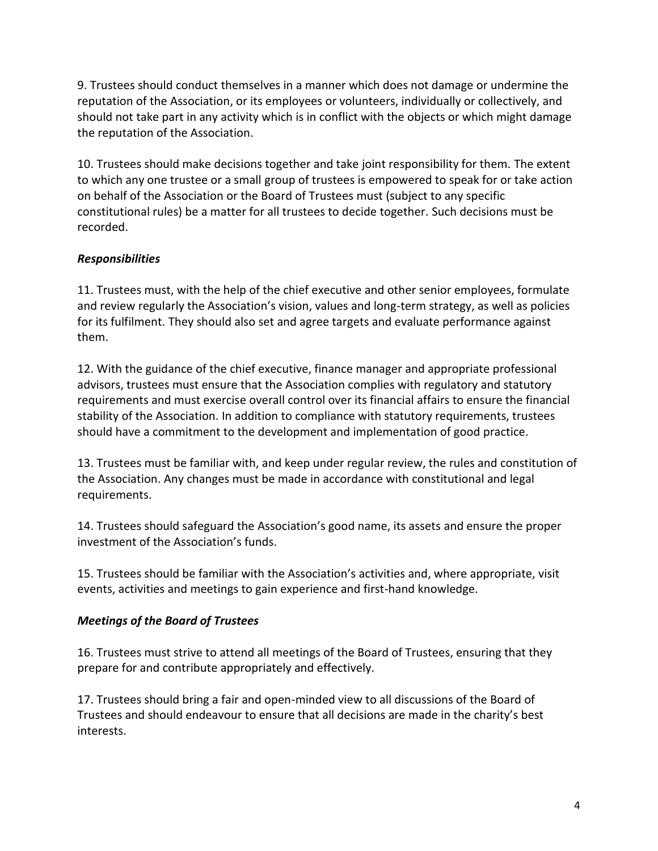9. Trustees should conduct themselves in a manner which does not damage or undermine the reputation of the Association, or its employees or volunteers, individually or collectively, and should not take part in any activity which is in conflict with the objects or which might damage the reputation of the Association.

10. Trustees should make decisions together and take joint responsibility for them. The extent to which any one trustee or a small group of trustees is empowered to speak for or take action on behalf of the Association or the Board of Trustees must (subject to any specific constitutional rules) be a matter for all trustees to decide together. Such decisions must be recorded.

## *Responsibilities*

11. Trustees must, with the help of the chief executive and other senior employees, formulate and review regularly the Association's vision, values and long-term strategy, as well as policies for its fulfilment. They should also set and agree targets and evaluate performance against them.

12. With the guidance of the chief executive, finance manager and appropriate professional advisors, trustees must ensure that the Association complies with regulatory and statutory requirements and must exercise overall control over its financial affairs to ensure the financial stability of the Association. In addition to compliance with statutory requirements, trustees should have a commitment to the development and implementation of good practice.

13. Trustees must be familiar with, and keep under regular review, the rules and constitution of the Association. Any changes must be made in accordance with constitutional and legal requirements.

14. Trustees should safeguard the Association's good name, its assets and ensure the proper investment of the Association's funds.

15. Trustees should be familiar with the Association's activities and, where appropriate, visit events, activities and meetings to gain experience and first-hand knowledge.

## *Meetings of the Board of Trustees*

16. Trustees must strive to attend all meetings of the Board of Trustees, ensuring that they prepare for and contribute appropriately and effectively.

17. Trustees should bring a fair and open-minded view to all discussions of the Board of Trustees and should endeavour to ensure that all decisions are made in the charity's best interests.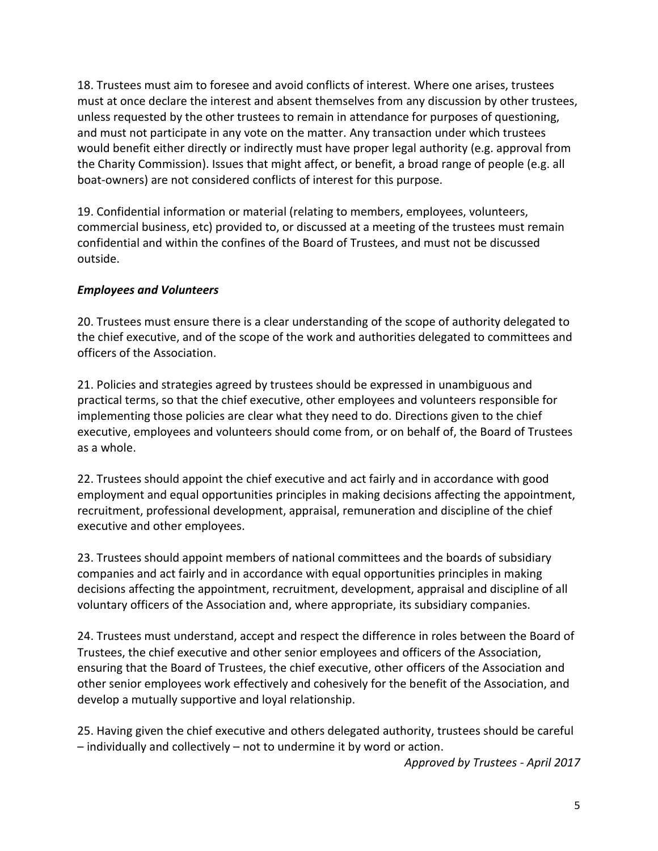18. Trustees must aim to foresee and avoid conflicts of interest. Where one arises, trustees must at once declare the interest and absent themselves from any discussion by other trustees, unless requested by the other trustees to remain in attendance for purposes of questioning, and must not participate in any vote on the matter. Any transaction under which trustees would benefit either directly or indirectly must have proper legal authority (e.g. approval from the Charity Commission). Issues that might affect, or benefit, a broad range of people (e.g. all boat-owners) are not considered conflicts of interest for this purpose.

19. Confidential information or material (relating to members, employees, volunteers, commercial business, etc) provided to, or discussed at a meeting of the trustees must remain confidential and within the confines of the Board of Trustees, and must not be discussed outside.

## *Employees and Volunteers*

20. Trustees must ensure there is a clear understanding of the scope of authority delegated to the chief executive, and of the scope of the work and authorities delegated to committees and officers of the Association.

21. Policies and strategies agreed by trustees should be expressed in unambiguous and practical terms, so that the chief executive, other employees and volunteers responsible for implementing those policies are clear what they need to do. Directions given to the chief executive, employees and volunteers should come from, or on behalf of, the Board of Trustees as a whole.

22. Trustees should appoint the chief executive and act fairly and in accordance with good employment and equal opportunities principles in making decisions affecting the appointment, recruitment, professional development, appraisal, remuneration and discipline of the chief executive and other employees.

23. Trustees should appoint members of national committees and the boards of subsidiary companies and act fairly and in accordance with equal opportunities principles in making decisions affecting the appointment, recruitment, development, appraisal and discipline of all voluntary officers of the Association and, where appropriate, its subsidiary companies.

24. Trustees must understand, accept and respect the difference in roles between the Board of Trustees, the chief executive and other senior employees and officers of the Association, ensuring that the Board of Trustees, the chief executive, other officers of the Association and other senior employees work effectively and cohesively for the benefit of the Association, and develop a mutually supportive and loyal relationship.

25. Having given the chief executive and others delegated authority, trustees should be careful – individually and collectively – not to undermine it by word or action.

*Approved by Trustees - April 2017*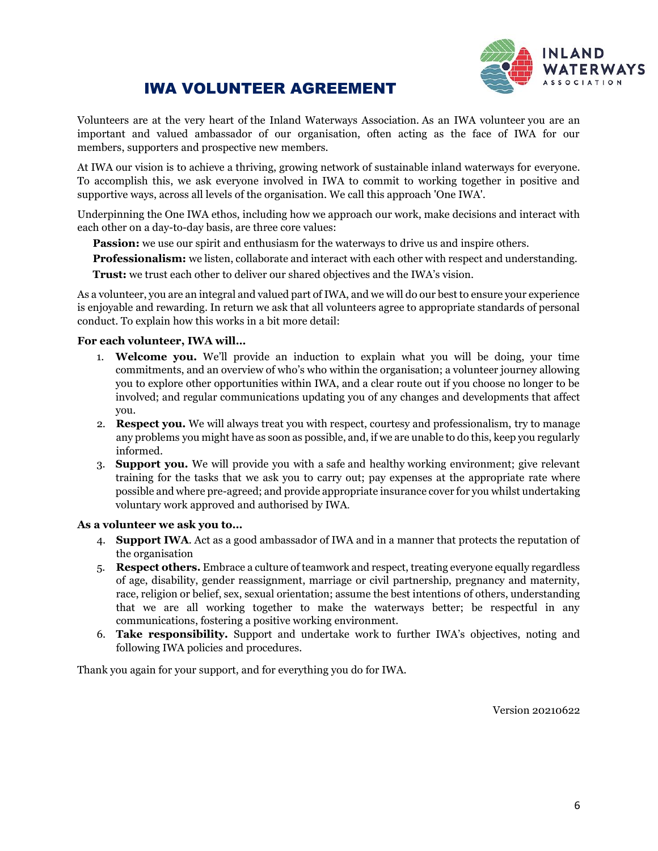

# IWA VOLUNTEER AGREEMENT

Volunteers are at the very heart of the Inland Waterways Association. As an IWA volunteer you are an important and valued ambassador of our organisation, often acting as the face of IWA for our members, supporters and prospective new members.

At IWA our vision is to achieve a thriving, growing network of sustainable inland waterways for everyone. To accomplish this, we ask everyone involved in IWA to commit to working together in positive and supportive ways, across all levels of the organisation. We call this approach 'One IWA'.

Underpinning the One IWA ethos, including how we approach our work, make decisions and interact with each other on a day-to-day basis, are three core values:

**Passion:** we use our spirit and enthusiasm for the waterways to drive us and inspire others.

**Professionalism:** we listen, collaborate and interact with each other with respect and understanding.

**Trust:** we trust each other to deliver our shared objectives and the IWA's vision.

As a volunteer, you are an integral and valued part of IWA, and we will do our best to ensure your experience is enjoyable and rewarding. In return we ask that all volunteers agree to appropriate standards of personal conduct. To explain how this works in a bit more detail:

### **For each volunteer, IWA will…**

- 1. **Welcome you.** We'll provide an induction to explain what you will be doing, your time commitments, and an overview of who's who within the organisation; a volunteer journey allowing you to explore other opportunities within IWA, and a clear route out if you choose no longer to be involved; and regular communications updating you of any changes and developments that affect you.
- 2. **Respect you.** We will always treat you with respect, courtesy and professionalism, try to manage any problems you might have as soon as possible, and, if we are unable to do this, keep you regularly informed.
- 3. **Support you.** We will provide you with a safe and healthy working environment; give relevant training for the tasks that we ask you to carry out; pay expenses at the appropriate rate where possible and where pre-agreed; and provide appropriate insurance cover for you whilst undertaking voluntary work approved and authorised by IWA.

#### **As a volunteer we ask you to…**

- 4. **Support IWA**. Act as a good ambassador of IWA and in a manner that protects the reputation of the organisation
- 5. **Respect others.** Embrace a culture of teamwork and respect, treating everyone equally regardless of age, disability, gender reassignment, marriage or civil partnership, pregnancy and maternity, race, religion or belief, sex, sexual orientation; assume the best intentions of others, understanding that we are all working together to make the waterways better; be respectful in any communications, fostering a positive working environment.
- 6. **Take responsibility.** Support and undertake work to further IWA's objectives, noting and following IWA policies and procedures.

Thank you again for your support, and for everything you do for IWA.

Version 20210622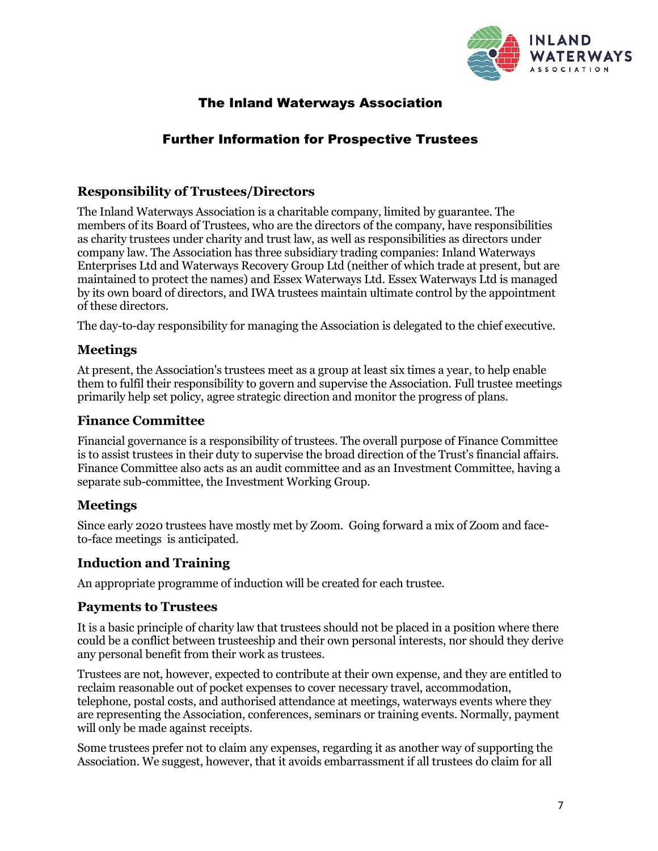

# The Inland Waterways Association

# Further Information for Prospective Trustees

## **Responsibility of Trustees/Directors**

The Inland Waterways Association is a charitable company, limited by guarantee. The members of its Board of Trustees, who are the directors of the company, have responsibilities as charity trustees under charity and trust law, as well as responsibilities as directors under company law. The Association has three subsidiary trading companies: Inland Waterways Enterprises Ltd and Waterways Recovery Group Ltd (neither of which trade at present, but are maintained to protect the names) and Essex Waterways Ltd. Essex Waterways Ltd is managed by its own board of directors, and IWA trustees maintain ultimate control by the appointment of these directors.

The day-to-day responsibility for managing the Association is delegated to the chief executive.

## **Meetings**

At present, the Association's trustees meet as a group at least six times a year, to help enable them to fulfil their responsibility to govern and supervise the Association. Full trustee meetings primarily help set policy, agree strategic direction and monitor the progress of plans.

## **Finance Committee**

Financial governance is a responsibility of trustees. The overall purpose of Finance Committee is to assist trustees in their duty to supervise the broad direction of the Trust's financial affairs. Finance Committee also acts as an audit committee and as an Investment Committee, having a separate sub-committee, the Investment Working Group.

## **Meetings**

Since early 2020 trustees have mostly met by Zoom. Going forward a mix of Zoom and faceto-face meetings is anticipated.

## **Induction and Training**

An appropriate programme of induction will be created for each trustee.

## **Payments to Trustees**

It is a basic principle of charity law that trustees should not be placed in a position where there could be a conflict between trusteeship and their own personal interests, nor should they derive any personal benefit from their work as trustees.

Trustees are not, however, expected to contribute at their own expense, and they are entitled to reclaim reasonable out of pocket expenses to cover necessary travel, accommodation, telephone, postal costs, and authorised attendance at meetings, waterways events where they are representing the Association, conferences, seminars or training events. Normally, payment will only be made against receipts.

Some trustees prefer not to claim any expenses, regarding it as another way of supporting the Association. We suggest, however, that it avoids embarrassment if all trustees do claim for all